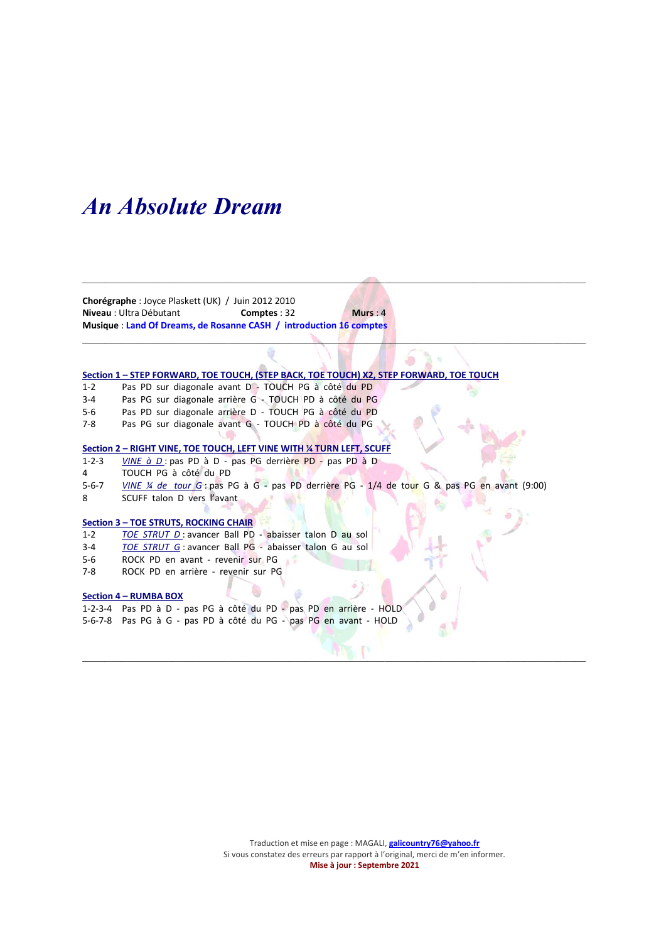## An Absolute Dream

Chorégraphe : Joyce Plaskett (UK) / Juin 2012 2010 Niveau : Ultra Débutant **Comptes : 32** Murs : 4 Musique : Land Of Dreams, de Rosanne CASH / introduction 16 comptes

## Section 1 – STEP FORWARD, TOE TOUCH, (STEP BACK, TOE TOUCH) X2, STEP FORWARD, TOE TOUCH

- 1-2 Pas PD sur diagonale avant D TOUCH PG à côté du PD
- 3-4 Pas PG sur diagonale arrière G TOUCH PD à côté du PG
- 5-6 Pas PD sur diagonale arrière D TOUCH PG à côté du PD
- 7-8 Pas PG sur diagonale avant G TOUCH PD à côté du PG

#### Section 2 – RIGHT VINE, TOE TOUCH, LEFT VINE WITH ¼ TURN LEFT, SCUFF

- 1-2-3 VINE à D : pas PD à D pas PG derrière PD pas PD à D
- 4 TOUCH PG à côté du PD
- 5-6-7 VINE ¼ de tour G : pas PG à G pas PD derrière PG 1/4 de tour G & pas PG en avant (9:00)

\_\_\_\_\_\_\_\_\_\_\_\_\_\_\_\_\_\_\_\_\_\_\_\_\_\_\_\_\_\_\_\_\_\_\_\_\_\_\_\_\_\_\_\_\_\_\_\_\_\_\_\_\_\_\_\_\_\_\_\_\_\_\_\_\_\_\_\_\_\_\_\_\_\_\_\_\_\_\_\_\_\_\_\_\_\_\_\_\_\_

 $\mathcal{L}_\mathcal{L}$ 

 $\Box$ 

8 SCUFF talon D vers l'avant

#### Section 3 – TOE STRUTS, ROCKING CHAIR

- 1-2 TOE STRUT D: avancer Ball PD abaisser talon D au sol
- 3-4 TOE STRUT G : avancer Ball PG abaisser talon G au sol
- 5-6 ROCK PD en avant revenir sur PG
- 7-8 ROCK PD en arrière revenir sur PG

#### Section 4 – RUMBA BOX

- 1-2-3-4 Pas PD à D pas PG à côté du PD pas PD en arrière HOLD
- 5-6-7-8 Pas PG à G pas PD à côté du PG pas PG en avant HOLD